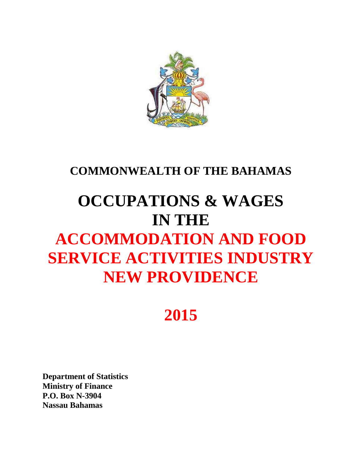

## **COMMONWEALTH OF THE BAHAMAS**

# **OCCUPATIONS & WAGES IN THE ACCOMMODATION AND FOOD SERVICE ACTIVITIES INDUSTRY NEW PROVIDENCE**

## **2015**

**Department of Statistics Ministry of Finance P.O. Box N-3904 Nassau Bahamas**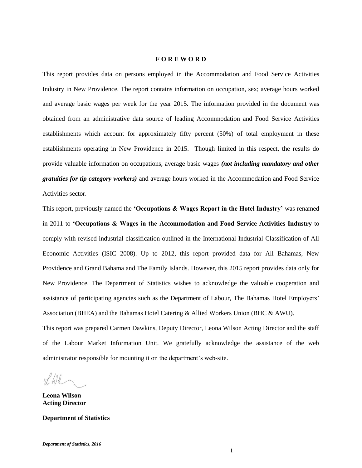#### **F O R E W O R D**

This report provides data on persons employed in the Accommodation and Food Service Activities Industry in New Providence. The report contains information on occupation, sex; average hours worked and average basic wages per week for the year 2015. The information provided in the document was obtained from an administrative data source of leading Accommodation and Food Service Activities establishments which account for approximately fifty percent (50%) of total employment in these establishments operating in New Providence in 2015. Though limited in this respect, the results do provide valuable information on occupations, average basic wages *(not including mandatory and other gratuities for tip category workers)* and average hours worked in the Accommodation and Food Service Activities sector.

This report, previously named the **'Occupations & Wages Report in the Hotel Industry'** was renamed in 2011 to **'Occupations & Wages in the Accommodation and Food Service Activities Industry** to comply with revised industrial classification outlined in the International Industrial Classification of All Economic Activities (ISIC 2008). Up to 2012, this report provided data for All Bahamas, New Providence and Grand Bahama and The Family Islands. However, this 2015 report provides data only for New Providence. The Department of Statistics wishes to acknowledge the valuable cooperation and assistance of participating agencies such as the Department of Labour, The Bahamas Hotel Employers' Association (BHEA) and the Bahamas Hotel Catering & Allied Workers Union (BHC & AWU). This report was prepared Carmen Dawkins, Deputy Director, Leona Wilson Acting Director and the staff of the Labour Market Information Unit. We gratefully acknowledge the assistance of the web

administrator responsible for mounting it on the department's web-site.  $H/d$ 

**Leona Wilson Acting Director**

**Department of Statistics**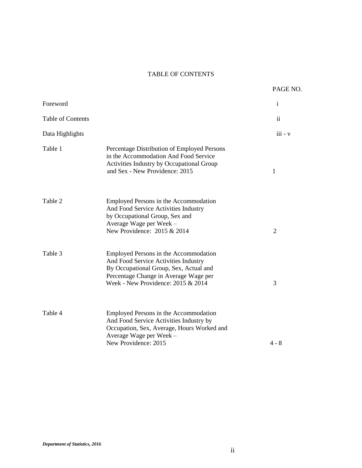## TABLE OF CONTENTS

|                          |                                                                                                                                                                                                          | PAGE NO.       |
|--------------------------|----------------------------------------------------------------------------------------------------------------------------------------------------------------------------------------------------------|----------------|
| Foreword                 |                                                                                                                                                                                                          | $\mathbf{i}$   |
| <b>Table of Contents</b> |                                                                                                                                                                                                          | $\mathbf{ii}$  |
| Data Highlights          |                                                                                                                                                                                                          | $iii - v$      |
| Table 1                  | Percentage Distribution of Employed Persons<br>in the Accommodation And Food Service<br>Activities Industry by Occupational Group<br>and Sex - New Providence: 2015                                      | 1              |
| Table 2                  | Employed Persons in the Accommodation<br>And Food Service Activities Industry<br>by Occupational Group, Sex and<br>Average Wage per Week -<br>New Providence: 2015 & 2014                                | $\overline{2}$ |
| Table 3                  | Employed Persons in the Accommodation<br>And Food Service Activities Industry<br>By Occupational Group, Sex, Actual and<br>Percentage Change in Average Wage per<br>Week - New Providence: $2015 & 2014$ | 3              |
| Table 4                  | Employed Persons in the Accommodation<br>And Food Service Activities Industry by<br>Occupation, Sex, Average, Hours Worked and<br>Average Wage per Week -<br>New Providence: 2015                        | $4 - 8$        |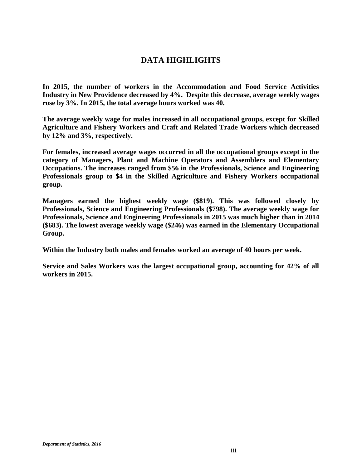## **DATA HIGHLIGHTS**

**In 2015, the number of workers in the Accommodation and Food Service Activities Industry in New Providence decreased by 4%. Despite this decrease, average weekly wages rose by 3%. In 2015, the total average hours worked was 40.**

**The average weekly wage for males increased in all occupational groups, except for Skilled Agriculture and Fishery Workers and Craft and Related Trade Workers which decreased by 12% and 3%, respectively.**

**For females, increased average wages occurred in all the occupational groups except in the category of Managers, Plant and Machine Operators and Assemblers and Elementary Occupations. The increases ranged from \$56 in the Professionals, Science and Engineering Professionals group to \$4 in the Skilled Agriculture and Fishery Workers occupational group.** 

**Managers earned the highest weekly wage (\$819). This was followed closely by Professionals, Science and Engineering Professionals (\$798). The average weekly wage for Professionals, Science and Engineering Professionals in 2015 was much higher than in 2014 (\$683). The lowest average weekly wage (\$246) was earned in the Elementary Occupational Group.**

**Within the Industry both males and females worked an average of 40 hours per week.**

**Service and Sales Workers was the largest occupational group, accounting for 42% of all workers in 2015.**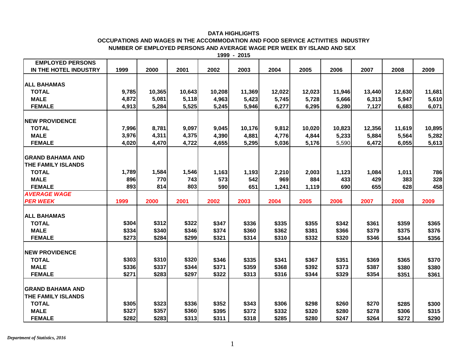## **DATA HIGHLIGHTS**

## **NUMBER OF EMPLOYED PERSONS AND AVERAGE WAGE PER WEEK BY ISLAND AND SEX OCCUPATIONS AND WAGES IN THE ACCOMMODATION AND FOOD SERVICE ACTIVITIES INDUSTRY**

| 1999 | 2015 |
|------|------|
|------|------|

| <b>EMPLOYED PERSONS</b>   |       |        |        |        |        |        |        |        |        |        |        |
|---------------------------|-------|--------|--------|--------|--------|--------|--------|--------|--------|--------|--------|
| IN THE HOTEL INDUSTRY     | 1999  | 2000   | 2001   | 2002   | 2003   | 2004   | 2005   | 2006   | 2007   | 2008   | 2009   |
|                           |       |        |        |        |        |        |        |        |        |        |        |
| <b>ALL BAHAMAS</b>        |       |        |        |        |        |        |        |        |        |        |        |
| <b>TOTAL</b>              | 9,785 | 10,365 | 10,643 | 10,208 | 11,369 | 12,022 | 12,023 | 11,946 | 13,440 | 12,630 | 11,681 |
| <b>MALE</b>               | 4,872 | 5,081  | 5,118  | 4,963  | 5,423  | 5,745  | 5,728  | 5,666  | 6,313  | 5,947  | 5,610  |
| <b>FEMALE</b>             | 4,913 | 5,284  | 5,525  | 5,245  | 5,946  | 6,277  | 6,295  | 6,280  | 7,127  | 6,683  | 6,071  |
|                           |       |        |        |        |        |        |        |        |        |        |        |
| <b>NEW PROVIDENCE</b>     |       |        |        |        |        |        |        |        |        |        |        |
| <b>TOTAL</b>              | 7,996 | 8,781  | 9,097  | 9,045  | 10,176 | 9,812  | 10,020 | 10,823 | 12,356 | 11,619 | 10,895 |
| <b>MALE</b>               | 3,976 | 4,311  | 4,375  | 4,390  | 4,881  | 4,776  | 4,844  | 5,233  | 5,884  | 5,564  | 5,282  |
| <b>FEMALE</b>             | 4,020 | 4,470  | 4,722  | 4,655  | 5,295  | 5,036  | 5,176  | 5,590  | 6,472  | 6,055  | 5,613  |
|                           |       |        |        |        |        |        |        |        |        |        |        |
| <b>GRAND BAHAMA AND</b>   |       |        |        |        |        |        |        |        |        |        |        |
| <b>THE FAMILY ISLANDS</b> |       |        |        |        |        |        |        |        |        |        |        |
| <b>TOTAL</b>              | 1,789 | 1,584  | 1,546  | 1,163  | 1,193  | 2,210  | 2,003  | 1,123  | 1,084  | 1,011  | 786    |
| <b>MALE</b>               | 896   | 770    | 743    | 573    | 542    | 969    | 884    | 433    | 429    | 383    | 328    |
| <b>FEMALE</b>             | 893   | 814    | 803    | 590    | 651    | 1,241  | 1,119  | 690    | 655    | 628    | 458    |
| <b>AVERAGE WAGE</b>       |       |        |        |        |        |        |        |        |        |        |        |
| <b>PER WEEK</b>           | 1999  | 2000   | 2001   | 2002   | 2003   | 2004   | 2005   | 2006   | 2007   | 2008   | 2009   |
|                           |       |        |        |        |        |        |        |        |        |        |        |
| <b>ALL BAHAMAS</b>        |       |        |        |        |        |        |        |        |        |        |        |
| <b>TOTAL</b>              | \$304 | \$312  | \$322  | \$347  | \$336  | \$335  | \$355  | \$342  | \$361  | \$359  | \$365  |
| <b>MALE</b>               | \$334 | \$340  | \$346  | \$374  | \$360  | \$362  | \$381  | \$366  | \$379  | \$375  | \$376  |
| <b>FEMALE</b>             | \$273 | \$284  | \$299  | \$321  | \$314  | \$310  | \$332  | \$320  | \$346  | \$344  | \$356  |
|                           |       |        |        |        |        |        |        |        |        |        |        |
| <b>NEW PROVIDENCE</b>     |       |        |        |        |        |        |        |        |        |        |        |
| <b>TOTAL</b>              | \$303 | \$310  | \$320  | \$346  | \$335  | \$341  | \$367  | \$351  | \$369  | \$365  | \$370  |
| <b>MALE</b>               | \$336 | \$337  | \$344  | \$371  | \$359  | \$368  | \$392  | \$373  | \$387  | \$380  | \$380  |
| <b>FEMALE</b>             | \$271 | \$283  | \$297  | \$322  | \$313  | \$316  | \$344  | \$329  | \$354  | \$351  | \$361  |
|                           |       |        |        |        |        |        |        |        |        |        |        |
| <b>GRAND BAHAMA AND</b>   |       |        |        |        |        |        |        |        |        |        |        |
| <b>THE FAMILY ISLANDS</b> |       |        |        |        |        |        |        |        |        |        |        |
| <b>TOTAL</b>              | \$305 | \$323  | \$336  | \$352  | \$343  | \$306  | \$298  | \$260  | \$270  | \$285  | \$300  |
| <b>MALE</b>               | \$327 | \$357  | \$360  | \$395  | \$372  | \$332  | \$320  | \$280  | \$278  | \$306  | \$315  |
| <b>FEMALE</b>             | \$282 | \$283  | \$313  | \$311  | \$318  | \$285  | \$280  | \$247  | \$264  | \$272  | \$290  |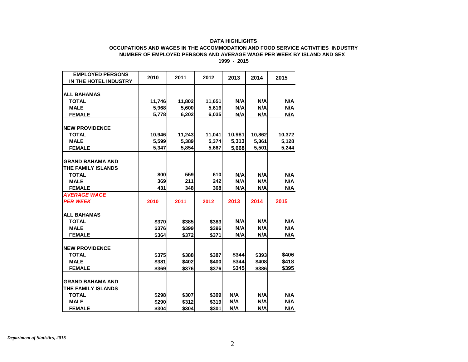### **DATA HIGHLIGHTS**

#### **1999 - 2015 NUMBER OF EMPLOYED PERSONS AND AVERAGE WAGE PER WEEK BY ISLAND AND SEX OCCUPATIONS AND WAGES IN THE ACCOMMODATION AND FOOD SERVICE ACTIVITIES INDUSTRY**

| <b>ALL BAHAMAS</b><br>N/A<br><b>TOTAL</b><br>N/A<br>N/A<br>11,746<br>11,802<br>11,651<br>N/A<br><b>MALE</b><br>N/A<br>N/A<br>5,968<br>5,600<br>5,616<br>6,202<br>6,035<br>N/A<br>N/A<br><b>FEMALE</b><br>5,778<br>N/A<br><b>NEW PROVIDENCE</b><br>10,946<br><b>TOTAL</b><br>11,243<br>11,041<br>10,981<br>10,862<br>5,313<br><b>MALE</b><br>5,599<br>5,389<br>5,374<br>5,361<br><b>FEMALE</b><br>5,347<br>5,854<br>5,668<br>5,501<br>5,667<br><b>GRAND BAHAMA AND</b><br>THE FAMILY ISLANDS<br>559<br>610<br>N/A<br>N/A<br>N/A<br>800<br><b>TOTAL</b><br>369<br>211<br>242<br>N/A<br>N/A<br><b>MALE</b><br>N/A<br><b>FEMALE</b><br>N/A<br>N/A<br>431<br>348<br>368<br>N/A<br><b>AVERAGE WAGE</b><br><b>PER WEEK</b><br>2011<br>2012<br>2013<br>2014<br>2015<br>2010 | <b>EMPLOYED PERSONS</b><br>IN THE HOTEL INDUSTRY | 2010 | 2011 | 2012 | 2013 | 2014 | 2015   |
|---------------------------------------------------------------------------------------------------------------------------------------------------------------------------------------------------------------------------------------------------------------------------------------------------------------------------------------------------------------------------------------------------------------------------------------------------------------------------------------------------------------------------------------------------------------------------------------------------------------------------------------------------------------------------------------------------------------------------------------------------------------------|--------------------------------------------------|------|------|------|------|------|--------|
|                                                                                                                                                                                                                                                                                                                                                                                                                                                                                                                                                                                                                                                                                                                                                                     |                                                  |      |      |      |      |      |        |
|                                                                                                                                                                                                                                                                                                                                                                                                                                                                                                                                                                                                                                                                                                                                                                     |                                                  |      |      |      |      |      |        |
|                                                                                                                                                                                                                                                                                                                                                                                                                                                                                                                                                                                                                                                                                                                                                                     |                                                  |      |      |      |      |      |        |
|                                                                                                                                                                                                                                                                                                                                                                                                                                                                                                                                                                                                                                                                                                                                                                     |                                                  |      |      |      |      |      |        |
|                                                                                                                                                                                                                                                                                                                                                                                                                                                                                                                                                                                                                                                                                                                                                                     |                                                  |      |      |      |      |      |        |
|                                                                                                                                                                                                                                                                                                                                                                                                                                                                                                                                                                                                                                                                                                                                                                     |                                                  |      |      |      |      |      |        |
|                                                                                                                                                                                                                                                                                                                                                                                                                                                                                                                                                                                                                                                                                                                                                                     |                                                  |      |      |      |      |      | 10,372 |
|                                                                                                                                                                                                                                                                                                                                                                                                                                                                                                                                                                                                                                                                                                                                                                     |                                                  |      |      |      |      |      | 5,128  |
|                                                                                                                                                                                                                                                                                                                                                                                                                                                                                                                                                                                                                                                                                                                                                                     |                                                  |      |      |      |      |      | 5,244  |
|                                                                                                                                                                                                                                                                                                                                                                                                                                                                                                                                                                                                                                                                                                                                                                     |                                                  |      |      |      |      |      |        |
|                                                                                                                                                                                                                                                                                                                                                                                                                                                                                                                                                                                                                                                                                                                                                                     |                                                  |      |      |      |      |      |        |
|                                                                                                                                                                                                                                                                                                                                                                                                                                                                                                                                                                                                                                                                                                                                                                     |                                                  |      |      |      |      |      |        |
|                                                                                                                                                                                                                                                                                                                                                                                                                                                                                                                                                                                                                                                                                                                                                                     |                                                  |      |      |      |      |      |        |
|                                                                                                                                                                                                                                                                                                                                                                                                                                                                                                                                                                                                                                                                                                                                                                     |                                                  |      |      |      |      |      |        |
|                                                                                                                                                                                                                                                                                                                                                                                                                                                                                                                                                                                                                                                                                                                                                                     |                                                  |      |      |      |      |      |        |
|                                                                                                                                                                                                                                                                                                                                                                                                                                                                                                                                                                                                                                                                                                                                                                     |                                                  |      |      |      |      |      |        |
|                                                                                                                                                                                                                                                                                                                                                                                                                                                                                                                                                                                                                                                                                                                                                                     |                                                  |      |      |      |      |      |        |
|                                                                                                                                                                                                                                                                                                                                                                                                                                                                                                                                                                                                                                                                                                                                                                     | <b>ALL BAHAMAS</b>                               |      |      |      |      |      |        |
| N/A<br>N/A<br><b>TOTAL</b><br>\$370<br>\$385<br>\$383                                                                                                                                                                                                                                                                                                                                                                                                                                                                                                                                                                                                                                                                                                               |                                                  |      |      |      |      |      | N/A    |
| N/A<br>N/A<br><b>MALE</b><br>\$376<br>\$399<br>\$396                                                                                                                                                                                                                                                                                                                                                                                                                                                                                                                                                                                                                                                                                                                |                                                  |      |      |      |      |      | N/A    |
| N/A<br><b>FEMALE</b><br>N/A<br>\$364<br>\$372<br>\$371                                                                                                                                                                                                                                                                                                                                                                                                                                                                                                                                                                                                                                                                                                              |                                                  |      |      |      |      |      | N/A    |
|                                                                                                                                                                                                                                                                                                                                                                                                                                                                                                                                                                                                                                                                                                                                                                     |                                                  |      |      |      |      |      |        |
| <b>NEW PROVIDENCE</b>                                                                                                                                                                                                                                                                                                                                                                                                                                                                                                                                                                                                                                                                                                                                               |                                                  |      |      |      |      |      |        |
| \$344<br>\$388<br>\$387<br>\$393<br><b>TOTAL</b><br>\$375                                                                                                                                                                                                                                                                                                                                                                                                                                                                                                                                                                                                                                                                                                           |                                                  |      |      |      |      |      | \$406  |
| \$344<br><b>MALE</b><br>\$381<br>\$400<br>\$408<br>\$402                                                                                                                                                                                                                                                                                                                                                                                                                                                                                                                                                                                                                                                                                                            |                                                  |      |      |      |      |      | \$418  |
| \$345<br><b>FEMALE</b><br>\$369<br>\$376<br>\$376<br>\$386                                                                                                                                                                                                                                                                                                                                                                                                                                                                                                                                                                                                                                                                                                          |                                                  |      |      |      |      |      | \$395  |
| <b>GRAND BAHAMA AND</b>                                                                                                                                                                                                                                                                                                                                                                                                                                                                                                                                                                                                                                                                                                                                             |                                                  |      |      |      |      |      |        |
| THE FAMILY ISLANDS                                                                                                                                                                                                                                                                                                                                                                                                                                                                                                                                                                                                                                                                                                                                                  |                                                  |      |      |      |      |      |        |
| N/A<br>N/A<br><b>TOTAL</b><br>\$298<br>\$307<br>\$309                                                                                                                                                                                                                                                                                                                                                                                                                                                                                                                                                                                                                                                                                                               |                                                  |      |      |      |      |      | N/A    |
| <b>MALE</b><br>N/A<br>N/A<br>\$290<br>\$312<br>\$319                                                                                                                                                                                                                                                                                                                                                                                                                                                                                                                                                                                                                                                                                                                |                                                  |      |      |      |      |      | N/A    |
| N/A<br>N/A<br>\$304<br><b>FEMALE</b><br>\$304<br>\$301                                                                                                                                                                                                                                                                                                                                                                                                                                                                                                                                                                                                                                                                                                              |                                                  |      |      |      |      |      | N/A    |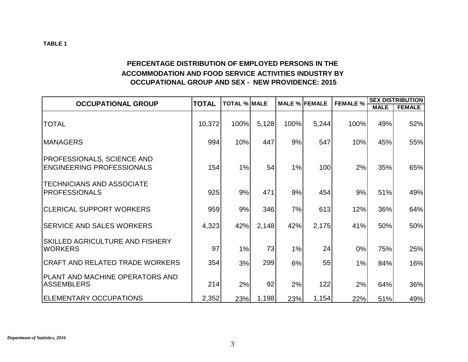## **PERCENTAGE DISTRIBUTION OF EMPLOYED PERSONS IN THE ACCOMMODATION AND FOOD SERVICE ACTIVITIES INDUSTRY BY OCCUPATIONAL GROUP AND SEX - NEW PROVIDENCE: 2015**

| <b>OCCUPATIONAL GROUP</b>                                             | <b>TOTAL</b> | <b>TOTAL % MALE</b> |       | <b>MALE % FEMALE</b> |       | <b>FEMALE %</b> |             | <b>SEX DISTRIBUTION</b> |
|-----------------------------------------------------------------------|--------------|---------------------|-------|----------------------|-------|-----------------|-------------|-------------------------|
|                                                                       |              |                     |       |                      |       |                 | <b>MALE</b> | <b>FEMALE</b>           |
| <b>TOTAL</b>                                                          | 10,372       | 100%                | 5,128 | 100%                 | 5,244 | 100%            | 49%         | 52%                     |
| <b>MANAGERS</b>                                                       | 994          | 10%                 | 447   | 9%                   | 547   | 10%             | 45%         | 55%                     |
| <b>PROFESSIONALS, SCIENCE AND</b><br><b>ENGINEERING PROFESSIONALS</b> | 154          | 1%                  | 54    | 1%                   | 100   | 2%              | 35%         | 65%                     |
| <b>TECHNICIANS AND ASSOCIATE</b><br><b>PROFESSIONALS</b>              | 925          | 9%                  | 471   | 9%                   | 454   | 9%              | 51%         | 49%                     |
| <b>CLERICAL SUPPORT WORKERS</b>                                       | 959          | 9%                  | 346   | 7%                   | 613   | 12%             | 36%         | 64%                     |
| <b>SERVICE AND SALES WORKERS</b>                                      | 4,323        | 42%                 | 2,148 | 42%                  | 2,175 | 41%             | 50%         | 50%                     |
| <b>SKILLED AGRICULTURE AND FISHERY</b><br><b>WORKERS</b>              | 97           | 1%                  | 73    | 1%                   | 24    | 0%              | 75%         | 25%                     |
| <b>CRAFT AND RELATED TRADE WORKERS</b>                                | 354          | 3%                  | 299   | 6%                   | 55    | 1%              | 84%         | 16%                     |
| PLANT AND MACHINE OPERATORS AND<br><b>ASSEMBLERS</b>                  | 214          | 2%                  | 92    | 2%                   | 122   | 2%              | 64%         | 36%                     |
| <b>IELEMENTARY OCCUPATIONS</b>                                        | 2,352        | 23%                 | 1,198 | 23%                  | 1,154 | 22%             | 51%         | 49%                     |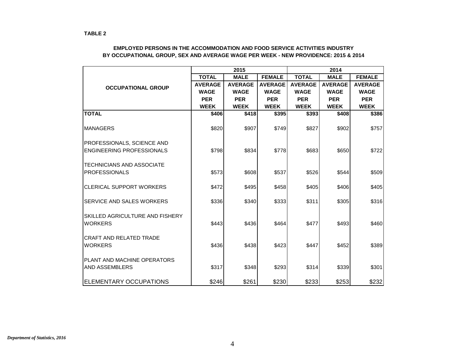|                                                       |                | 2015<br>2014   |                |                |                |                |
|-------------------------------------------------------|----------------|----------------|----------------|----------------|----------------|----------------|
|                                                       | <b>TOTAL</b>   | <b>MALE</b>    | <b>FEMALE</b>  | <b>TOTAL</b>   | <b>MALE</b>    | <b>FEMALE</b>  |
| <b>OCCUPATIONAL GROUP</b>                             | <b>AVERAGE</b> | <b>AVERAGE</b> | <b>AVERAGE</b> | <b>AVERAGE</b> | <b>AVERAGE</b> | <b>AVERAGE</b> |
|                                                       | <b>WAGE</b>    | <b>WAGE</b>    | <b>WAGE</b>    | <b>WAGE</b>    | <b>WAGE</b>    | <b>WAGE</b>    |
|                                                       | <b>PER</b>     | <b>PER</b>     | <b>PER</b>     | <b>PER</b>     | <b>PER</b>     | <b>PER</b>     |
|                                                       | <b>WEEK</b>    | <b>WEEK</b>    | <b>WEEK</b>    | <b>WEEK</b>    | <b>WEEK</b>    | <b>WEEK</b>    |
| <b>TOTAL</b>                                          | \$406          | \$418          | \$395          | \$393          | \$408          | \$386          |
| <b>MANAGERS</b>                                       | \$820          | \$907          | \$749          | \$827          | \$902          | \$757          |
| <b>PROFESSIONALS, SCIENCE AND</b>                     |                |                |                |                |                |                |
| <b>ENGINEERING PROFESSIONALS</b>                      | \$798          | \$834          | \$778          | \$683          | \$650          | \$722          |
| <b>TECHNICIANS AND ASSOCIATE</b>                      |                |                |                |                |                |                |
| <b>PROFESSIONALS</b>                                  | \$573          | \$608          | \$537          | \$526          | \$544          | \$509          |
| <b>CLERICAL SUPPORT WORKERS</b>                       | \$472          | \$495          | \$458          | \$405          | \$406          | \$405          |
| <b>SERVICE AND SALES WORKERS</b>                      | \$336          | \$340          | \$333          | \$311          | \$305          | \$316          |
| <b>SKILLED AGRICULTURE AND FISHERY</b>                |                |                |                |                |                |                |
| <b>WORKERS</b>                                        | \$443          | \$436          | \$464          | \$477          | \$493          | \$460          |
| <b>CRAFT AND RELATED TRADE</b><br><b>WORKERS</b>      | \$436          | \$438          | \$423          | \$447          | \$452          | \$389          |
|                                                       |                |                |                |                |                |                |
| IPLANT AND MACHINE OPERATORS<br><b>AND ASSEMBLERS</b> | \$317          | \$348          | \$293          | \$314          | \$339          | \$301          |
| <b>ELEMENTARY OCCUPATIONS</b>                         | \$246          | \$261          | \$230          | \$233          | \$253          | \$232          |

## **EMPLOYED PERSONS IN THE ACCOMMODATION AND FOOD SERVICE ACTIVITIES INDUSTRY BY OCCUPATIONAL GROUP, SEX AND AVERAGE WAGE PER WEEK - NEW PROVIDENCE: 2015 & 2014**

**TABLE 2**

*Department of Statistics, 2016*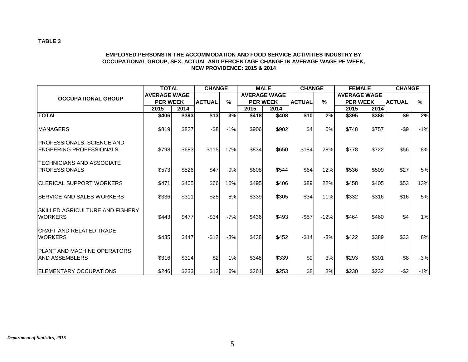## **EMPLOYED PERSONS IN THE ACCOMMODATION AND FOOD SERVICE ACTIVITIES INDUSTRY BY OCCUPATIONAL GROUP, SEX, ACTUAL AND PERCENTAGE CHANGE IN AVERAGE WAGE PE WEEK, NEW PROVIDENCE: 2015 & 2014**

|                                                                | <b>TOTAL</b>        |       | <b>CHANGE</b> |       |       | <b>MALE</b>         | <b>CHANGE</b> |        |             | <b>FEMALE</b>       | <b>CHANGE</b>    |       |
|----------------------------------------------------------------|---------------------|-------|---------------|-------|-------|---------------------|---------------|--------|-------------|---------------------|------------------|-------|
| <b>OCCUPATIONAL GROUP</b>                                      | <b>AVERAGE WAGE</b> |       |               |       |       | <b>AVERAGE WAGE</b> |               |        |             | <b>AVERAGE WAGE</b> |                  |       |
|                                                                | <b>PER WEEK</b>     |       | <b>ACTUAL</b> | $\%$  |       | <b>PER WEEK</b>     | <b>ACTUAL</b> | $\%$   |             | <b>PER WEEK</b>     | <b>ACTUAL</b>    | $\%$  |
|                                                                | 2015                | 2014  |               |       | 2015  | 2014                |               |        | <b>2015</b> | 2014                |                  |       |
| <b>TOTAL</b>                                                   | \$406               | \$393 | \$13          | 3%    | \$418 | \$408               | \$10          | 2%     | \$395       | \$386               | $\overline{\$9}$ | 2%    |
| <b>MANAGERS</b>                                                | \$819               | \$827 | $-$ \$8       | $-1%$ | \$906 | \$902               | \$4           | 0%     | \$748       | \$757               | $-$ \$9          | $-1%$ |
| <b>IPROFESSIONALS, SCIENCE AND</b><br>IENGEERING PROFESSIONALS | \$798               | \$683 | \$115         | 17%   | \$834 | \$650               | \$184         | 28%    | \$778       | \$722               | \$56             | 8%    |
| ITECHNICIANS AND ASSOCIATE<br><b>IPROFESSIONALS</b>            | \$573               | \$526 | \$47          | 9%    | \$608 | \$544               | \$64          | 12%    | \$536       | \$509               | \$27             | 5%    |
| <b>ICLERICAL SUPPORT WORKERS</b>                               | \$471               | \$405 | \$66          | 16%   | \$495 | \$406               | \$89          | 22%    | \$458       | \$405               | \$53]            | 13%   |
| ISERVICE AND SALES WORKERS                                     | \$336               | \$311 | \$25          | 8%    | \$339 | \$305               | \$34          | 11%    | \$332       | \$316               | \$16             | 5%    |
| ISKILLED AGRICULTURE AND FISHERY<br><b>WORKERS</b>             | \$443               | \$477 | $-$ \$34      | $-7%$ | \$436 | \$493               | $-$ \$57      | $-12%$ | \$464]      | \$460               | \$4              | 1%    |
| ICRAFT AND RELATED TRADE<br><b>WORKERS</b>                     | \$435               | \$447 | $-$12$        | $-3%$ | \$438 | \$452               | $-$14$        | $-3%$  | \$422       | \$389               | \$33]            | 8%    |
| <b>IPLANT AND MACHINE OPERATORS</b><br>IAND ASSEMBLERS         | \$316               | \$314 | \$2           | 1%    | \$348 | \$339               | \$9           | 3%     | \$293       | \$301               | $-$ \$8          | $-3%$ |
| <b>IELEMENTARY OCCUPATIONS</b>                                 | \$246               | \$233 | \$13          | 6%    | \$261 | \$253               | \$8           | 3%     | \$230       | \$232               | $-$ \$2          | $-1%$ |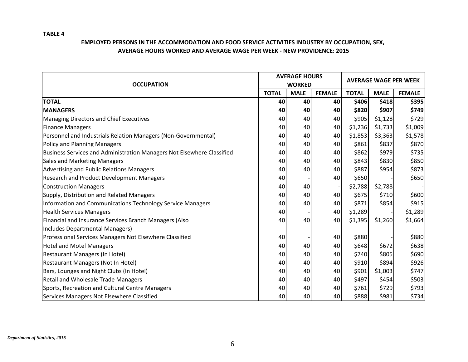## **TABLE 4**

## **EMPLOYED PERSONS IN THE ACCOMMODATION AND FOOD SERVICE ACTIVITIES INDUSTRY BY OCCUPATION, SEX, AVERAGE HOURS WORKED AND AVERAGE WAGE PER WEEK - NEW PROVIDENCE: 2015**

| <b>OCCUPATION</b>                                                      |              | <b>AVERAGE HOURS</b><br><b>WORKED</b> |               | <b>AVERAGE WAGE PER WEEK</b> |             |               |  |
|------------------------------------------------------------------------|--------------|---------------------------------------|---------------|------------------------------|-------------|---------------|--|
|                                                                        | <b>TOTAL</b> | <b>MALE</b>                           | <b>FEMALE</b> | <b>TOTAL</b>                 | <b>MALE</b> | <b>FEMALE</b> |  |
| <b>TOTAL</b>                                                           | 40           | 40                                    | 40            | \$406                        | \$418       | \$395         |  |
| <b>MANAGERS</b>                                                        | 40           | 40                                    | 40            | \$820                        | \$907       | \$749         |  |
| Managing Directors and Chief Executives                                | 40           | 40                                    | 40            | \$905                        | \$1,128     | \$729         |  |
| <b>Finance Managers</b>                                                | 40           | 40                                    | 40            | \$1,236                      | \$1,733     | \$1,009       |  |
| Personnel and Industrials Relation Managers (Non-Governmental)         | 40           | 40                                    | 40            | \$1,853                      | \$3,363     | \$1,578       |  |
| <b>Policy and Planning Managers</b>                                    | 40           | 40                                    | 40            | \$861                        | \$837       | \$870         |  |
| Business Services and Administration Managers Not Elsewhere Classified | 40           | 40                                    | 40            | \$862                        | \$979       | \$735         |  |
| <b>Sales and Marketing Managers</b>                                    | 40           | 40                                    | 40            | \$843                        | \$830       | \$850         |  |
| Advertising and Public Relations Managers                              | 40           | 40                                    | 40            | \$887                        | \$954       | \$873         |  |
| Research and Product Development Managers                              | 40           |                                       | 40            | \$650                        |             | \$650         |  |
| <b>Construction Managers</b>                                           | 40           | 40                                    |               | \$2,788                      | \$2,788     |               |  |
| Supply, Distribution and Related Managers                              | 40           | 40                                    | 40            | \$675                        | \$710       | \$600         |  |
| Information and Communications Technology Service Managers             | 40           | 40                                    | 40            | \$871                        | \$854       | \$915         |  |
| <b>Health Services Managers</b>                                        | 40           |                                       | 40            | \$1,289                      |             | \$1,289       |  |
| Financial and Insurance Services Branch Managers (Also                 | 40           | 40                                    | 40            | \$1,395                      | \$1,260     | \$1,664       |  |
| Includes Departmental Managers)                                        |              |                                       |               |                              |             |               |  |
| Professional Services Managers Not Elsewhere Classified                | 40           |                                       | 40            | \$880                        |             | \$880         |  |
| <b>Hotel and Motel Managers</b>                                        | 40           | 40                                    | 40            | \$648                        | \$672       | \$638         |  |
| Restaurant Managers (In Hotel)                                         | 40           | 40                                    | 40            | \$740                        | \$805       | \$690         |  |
| <b>Restaurant Managers (Not In Hotel)</b>                              | 40           | 40                                    | 40            | \$910                        | \$894       | \$926         |  |
| Bars, Lounges and Night Clubs (In Hotel)                               | 40           | 40                                    | 40            | \$901                        | \$1,003     | \$747         |  |
| <b>Retail and Wholesale Trade Managers</b>                             | 40           | 40                                    | 40            | \$497                        | \$454       | \$503         |  |
| Sports, Recreation and Cultural Centre Managers                        | 40           | 40                                    | 40            | \$761                        | \$729       | \$793         |  |
| Services Managers Not Elsewhere Classified                             | 40           | 40                                    | 40            | \$888                        | \$981       | \$734         |  |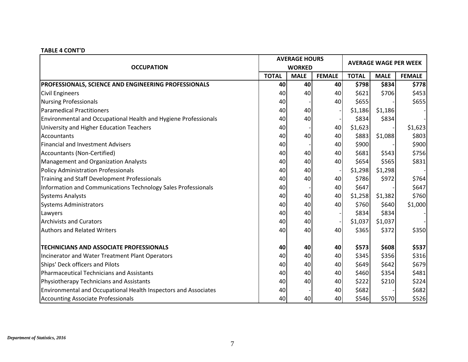|                                                                 |              | <b>AVERAGE HOURS</b> |               | <b>AVERAGE WAGE PER WEEK</b> |             |               |  |
|-----------------------------------------------------------------|--------------|----------------------|---------------|------------------------------|-------------|---------------|--|
| <b>OCCUPATION</b>                                               |              | <b>WORKED</b>        |               |                              |             |               |  |
|                                                                 | <b>TOTAL</b> | <b>MALE</b>          | <b>FEMALE</b> | <b>TOTAL</b>                 | <b>MALE</b> | <b>FEMALE</b> |  |
| PROFESSIONALS, SCIENCE AND ENGINEERING PROFESSIONALS            | 40           | 40 <sub>1</sub>      | 40            | \$798                        | \$834       | \$778         |  |
| <b>Civil Engineers</b>                                          | 40           | 40                   | 40            | \$621                        | \$706       | \$453         |  |
| <b>Nursing Professionals</b>                                    | 40           |                      | 40            | \$655                        |             | \$655         |  |
| <b>Paramedical Practitioners</b>                                | 40           | 40                   |               | \$1,186                      | \$1,186     |               |  |
| Environmental and Occupational Health and Hygiene Professionals | 40           | 40                   |               | \$834                        | \$834       |               |  |
| University and Higher Education Teachers                        | 40           |                      | 40            | \$1,623                      |             | \$1,623       |  |
| Accountants                                                     | 40           | 40                   | 40            | \$883                        | \$1,088     | \$803         |  |
| <b>Financial and Investment Advisers</b>                        | 40           |                      | 40            | \$900                        |             | \$900         |  |
| <b>Accountants (Non-Certified)</b>                              | 40           | 40                   | 40            | \$681                        | \$543       | \$756         |  |
| <b>Management and Organization Analysts</b>                     | 40           | 40                   | 40            | \$654                        | \$565       | \$831         |  |
| <b>Policy Administration Professionals</b>                      | 40           | 40                   |               | \$1,298                      | \$1,298     |               |  |
| Training and Staff Development Professionals                    | 40           | 40                   | 40            | \$786                        | \$972       | \$764         |  |
| Information and Communications Technology Sales Professionals   | 40           |                      | 40            | \$647                        |             | \$647         |  |
| <b>Systems Analysts</b>                                         | 40           | 40                   | 40            | \$1,258                      | \$1,382     | \$760         |  |
| <b>Systems Administrators</b>                                   | 40           | 40                   | 40            | \$760                        | \$640       | \$1,000       |  |
| Lawyers                                                         | 40           | 40                   |               | \$834                        | \$834       |               |  |
| <b>Archivists and Curators</b>                                  | 40           | 40                   |               | \$1,037                      | \$1,037     |               |  |
| <b>Authors and Related Writers</b>                              | 40           | 40                   | 40            | \$365                        | \$372       | \$350         |  |
| <b>TECHNICIANS AND ASSOCIATE PROFESSIONALS</b>                  | 40           | 40                   | 40            | \$573                        | \$608       | \$537         |  |
| Incinerator and Water Treatment Plant Operators                 | 40           | 40                   | 40            | \$345                        | \$356       | \$316         |  |
| Ships' Deck officers and Pilots                                 | 40           | 40                   | 40            | \$649                        | \$642       | \$679         |  |
| <b>Pharmaceutical Technicians and Assistants</b>                | 40           | 40                   | 40            | \$460                        | \$354       | \$481         |  |
| Physiotherapy Technicians and Assistants                        | 40           | 40                   | 40            | \$222                        | \$210       | \$224         |  |
| Environmental and Occupational Health Inspectors and Associates | 40           |                      | 40            | \$682                        |             | \$682         |  |
| <b>Accounting Associate Professionals</b>                       | 40           | 40                   | 40            | \$546                        | \$570       | \$526         |  |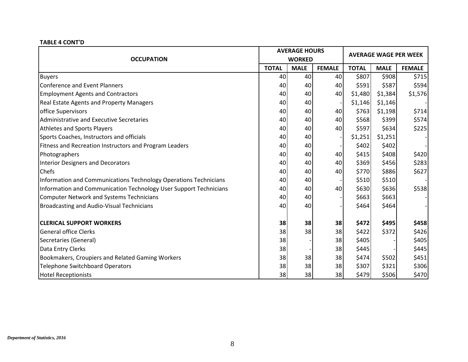| <b>OCCUPATION</b>                                                 |              | <b>AVERAGE HOURS</b><br><b>WORKED</b> |               | <b>AVERAGE WAGE PER WEEK</b> |             |               |  |
|-------------------------------------------------------------------|--------------|---------------------------------------|---------------|------------------------------|-------------|---------------|--|
|                                                                   | <b>TOTAL</b> | <b>MALE</b>                           | <b>FEMALE</b> | <b>TOTAL</b>                 | <b>MALE</b> | <b>FEMALE</b> |  |
| <b>Buyers</b>                                                     | 40           | 40                                    | 40            | \$807                        | \$908       | \$715         |  |
| <b>Conference and Event Planners</b>                              | 40           | 40                                    | 40            | \$591                        | \$587       | \$594         |  |
| <b>Employment Agents and Contractors</b>                          | 40           | 40                                    | 40            | \$1,480                      | \$1,384     | \$1,576       |  |
| <b>Real Estate Agents and Property Managers</b>                   | 40           | 40                                    |               | \$1,146                      | \$1,146     |               |  |
| office Supervisors                                                | 40           | 40                                    | 40            | \$763                        | \$1,198     | \$714         |  |
| Administrative and Executive Secretaries                          | 40           | 40                                    | 40            | \$568                        | \$399       | \$574         |  |
| Athletes and Sports Players                                       | 40           | 40                                    | 40            | \$597                        | \$634       | \$225         |  |
| Sports Coaches, Instructors and officials                         | 40           | 40                                    |               | \$1,251                      | \$1,251     |               |  |
| Fitness and Recreation Instructors and Program Leaders            | 40           | 40                                    |               | \$402                        | \$402       |               |  |
| Photographers                                                     | 40           | 40                                    | 40            | \$415                        | \$408       | \$420         |  |
| <b>Interior Designers and Decorators</b>                          | 40           | 40                                    | 40            | \$369                        | \$456       | \$283         |  |
| Chefs                                                             | 40           | 40                                    | 40            | \$770                        | \$886       | \$627         |  |
| Information and Communications Technology Operations Technicians  | 40           | 40                                    |               | \$510                        | \$510       |               |  |
| Information and Communication Technology User Support Technicians | 40           | 40                                    | 40            | \$630                        | \$636       | \$538         |  |
| <b>Computer Network and Systems Technicians</b>                   | 40           | 40                                    |               | \$663                        | \$663       |               |  |
| <b>Broadcasting and Audio-Visual Technicians</b>                  | 40           | 40                                    |               | \$464                        | \$464       |               |  |
| <b>CLERICAL SUPPORT WORKERS</b>                                   | 38           | 38                                    | 38            | \$472                        | \$495       | \$458         |  |
| <b>General office Clerks</b>                                      | 38           | 38                                    | 38            | \$422                        | \$372       | \$426         |  |
| Secretaries (General)                                             | 38           |                                       | 38            | \$405                        |             | \$405         |  |
| Data Entry Clerks                                                 | 38           |                                       | 38            | \$445                        |             | \$445         |  |
| Bookmakers, Croupiers and Related Gaming Workers                  | 38           | 38                                    | 38            | \$474                        | \$502       | \$451         |  |
| <b>Telephone Switchboard Operators</b>                            | 38           | 38                                    | 38            | \$307                        | \$321       | \$306         |  |
| <b>Hotel Receptionists</b>                                        | 38           | 38                                    | 38            | \$479                        | \$506       | \$470         |  |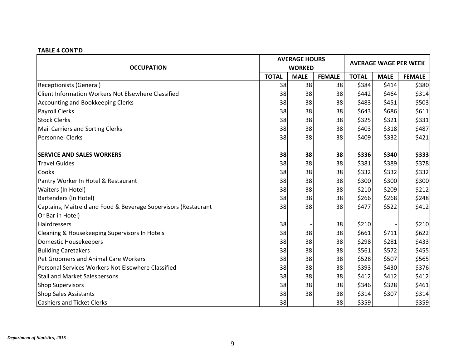|                                                                |              | <b>AVERAGE HOURS</b> |               | <b>AVERAGE WAGE PER WEEK</b> |             |               |  |
|----------------------------------------------------------------|--------------|----------------------|---------------|------------------------------|-------------|---------------|--|
| <b>OCCUPATION</b>                                              |              | <b>WORKED</b>        |               |                              |             |               |  |
|                                                                | <b>TOTAL</b> | <b>MALE</b>          | <b>FEMALE</b> | <b>TOTAL</b>                 | <b>MALE</b> | <b>FEMALE</b> |  |
| <b>Receptionists (General)</b>                                 | 38           | 38                   | 38            | \$384                        | \$414]      | \$380         |  |
| Client Information Workers Not Elsewhere Classified            | 38           | 38                   | 38            | \$442                        | \$464]      | \$314         |  |
| Accounting and Bookkeeping Clerks                              | 38           | 38                   | 38            | \$483                        | \$451       | \$503         |  |
| <b>Payroll Clerks</b>                                          | 38           | 38                   | 38            | \$643                        | \$686       | \$611         |  |
| <b>Stock Clerks</b>                                            | 38           | 38                   | 38            | \$325                        | \$321       | \$331         |  |
| <b>Mail Carriers and Sorting Clerks</b>                        | 38           | 38                   | 38            | \$403                        | \$318       | \$487         |  |
| <b>Personnel Clerks</b>                                        | 38           | 38                   | 38            | \$409                        | \$332       | \$421         |  |
| <b>SERVICE AND SALES WORKERS</b>                               | 38           | 38                   | 38            | \$336                        | \$340       | \$333         |  |
| <b>Travel Guides</b>                                           | 38           | 38                   | 38            | \$381                        | \$389       | \$378         |  |
| Cooks                                                          | 38           | 38                   | 38            | \$332                        | \$332       | \$332         |  |
| Pantry Worker In Hotel & Restaurant                            | 38           | 38                   | 38            | \$300                        | \$300       | \$300         |  |
| Waiters (In Hotel)                                             | 38           | 38                   | 38            | \$210                        | \$209       | \$212         |  |
| Bartenders (In Hotel)                                          | 38           | 38                   | 38            | \$266                        | \$268       | \$248         |  |
| Captains, Maitre'd and Food & Beverage Supervisors (Restaurant | 38           | 38                   | 38            | \$477                        | \$522       | \$412         |  |
| Or Bar in Hotel)                                               |              |                      |               |                              |             |               |  |
| Hairdressers                                                   | 38           |                      | 38            | \$210                        |             | \$210         |  |
| Cleaning & Housekeeping Supervisors In Hotels                  | 38           | 38                   | 38            | \$661                        | \$711       | \$622         |  |
| <b>Domestic Housekeepers</b>                                   | 38           | 38                   | 38            | \$298                        | \$281       | \$433         |  |
| <b>Building Caretakers</b>                                     | 38           | 38                   | 38            | \$561                        | \$572       | \$455         |  |
| Pet Groomers and Animal Care Workers                           | 38           | 38                   | 38            | \$528                        | \$507       | \$565         |  |
| Personal Services Workers Not Elsewhere Classified             | 38           | 38                   | 38            | \$393                        | \$430       | \$376         |  |
| <b>Stall and Market Salespersons</b>                           | 38           | 38                   | 38            | \$412                        | \$412       | \$412         |  |
| <b>Shop Supervisors</b>                                        | 38           | 38                   | 38            | \$346                        | \$328       | \$461         |  |
| <b>Shop Sales Assistants</b>                                   | 38           | 38                   | 38            | \$314                        | \$307       | \$314         |  |
| <b>Cashiers and Ticket Clerks</b>                              | 38           |                      | 38            | \$359                        |             | \$359         |  |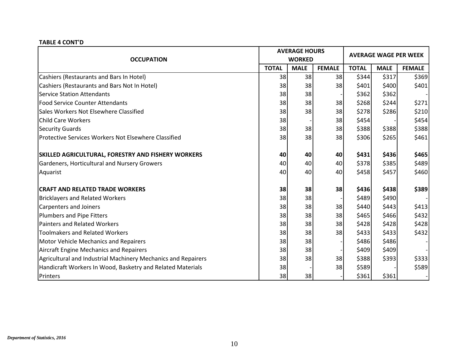| <b>OCCUPATION</b>                                             |              | <b>AVERAGE HOURS</b><br><b>WORKED</b> |               | <b>AVERAGE WAGE PER WEEK</b> |             |               |  |
|---------------------------------------------------------------|--------------|---------------------------------------|---------------|------------------------------|-------------|---------------|--|
|                                                               | <b>TOTAL</b> | <b>MALE</b>                           | <b>FEMALE</b> | <b>TOTAL</b>                 | <b>MALE</b> | <b>FEMALE</b> |  |
| Cashiers (Restaurants and Bars In Hotel)                      | 38           | 38                                    | 38            | \$344                        | \$317       | \$369         |  |
| Cashiers (Restaurants and Bars Not In Hotel)                  | 38           | 38                                    | 38            | \$401                        | \$400       | \$401         |  |
| <b>Service Station Attendants</b>                             | 38           | 38                                    |               | \$362                        | \$362       |               |  |
| <b>Food Service Counter Attendants</b>                        | 38           | 38                                    | 38            | \$268                        | \$244       | \$271         |  |
| Sales Workers Not Elsewhere Classified                        | 38           | 38                                    | 38            | \$278                        | \$286       | \$210         |  |
| <b>Child Care Workers</b>                                     | 38           |                                       | 38            | \$454                        |             | \$454         |  |
| <b>Security Guards</b>                                        | 38           | 38                                    | 38            | \$388                        | \$388       | \$388         |  |
| <b>Protective Services Workers Not Elsewhere Classified</b>   | 38           | 38                                    | 38            | \$306                        | \$265       | \$461         |  |
| <b>SKILLED AGRICULTURAL, FORESTRY AND FISHERY WORKERS</b>     | 40           | 40                                    | 40            | \$431                        | \$436       | \$465         |  |
| Gardeners, Horticultural and Nursery Growers                  | 40           | 40                                    | 40            | \$378                        | \$385       | \$489         |  |
| Aquarist                                                      | 40           | 40                                    | 40            | \$458                        | \$457       | \$460         |  |
| <b>CRAFT AND RELATED TRADE WORKERS</b>                        | 38           | 38                                    | 38            | \$436                        | \$438       | \$389         |  |
| <b>Bricklayers and Related Workers</b>                        | 38           | 38                                    |               | \$489                        | \$490       |               |  |
| <b>Carpenters and Joiners</b>                                 | 38           | 38                                    | 38            | \$440                        | \$443       | \$413         |  |
| <b>Plumbers and Pipe Fitters</b>                              | 38           | 38                                    | 38            | \$465                        | \$466       | \$432         |  |
| <b>Painters and Related Workers</b>                           | 38           | 38                                    | 38            | \$428                        | \$428       | \$428         |  |
| <b>Toolmakers and Related Workers</b>                         | 38           | 38                                    | 38            | \$433                        | \$433       | \$432         |  |
| <b>Motor Vehicle Mechanics and Repairers</b>                  | 38           | 38                                    |               | \$486                        | \$486       |               |  |
| Aircraft Engine Mechanics and Repairers                       | 38           | 38                                    |               | \$409                        | \$409       |               |  |
| Agricultural and Industrial Machinery Mechanics and Repairers | 38           | 38                                    | 38            | \$388                        | \$393       | \$333         |  |
| Handicraft Workers In Wood, Basketry and Related Materials    | 38           |                                       | 38            | \$589                        |             | \$589         |  |
| Printers                                                      | 38           | 38                                    |               | \$361                        | \$361       |               |  |